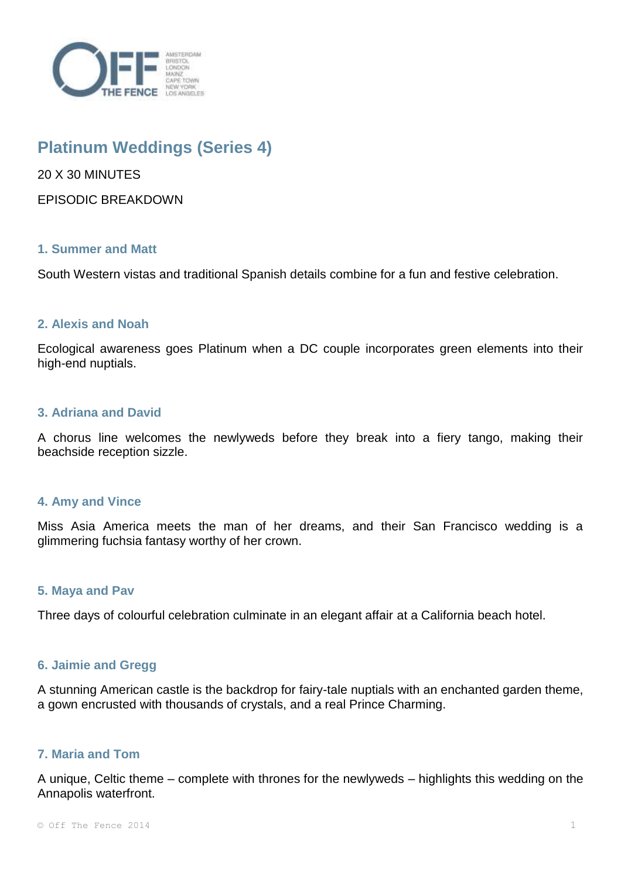

# **Platinum Weddings (Series 4)**

20 X 30 MINUTES

EPISODIC BREAKDOWN

# **1. Summer and Matt**

South Western vistas and traditional Spanish details combine for a fun and festive celebration.

# **2. Alexis and Noah**

Ecological awareness goes Platinum when a DC couple incorporates green elements into their high-end nuptials.

## **3. Adriana and David**

A chorus line welcomes the newlyweds before they break into a fiery tango, making their beachside reception sizzle.

## **4. Amy and Vince**

Miss Asia America meets the man of her dreams, and their San Francisco wedding is a glimmering fuchsia fantasy worthy of her crown.

## **5. Maya and Pav**

Three days of colourful celebration culminate in an elegant affair at a California beach hotel.

## **6. Jaimie and Gregg**

A stunning American castle is the backdrop for fairy-tale nuptials with an enchanted garden theme, a gown encrusted with thousands of crystals, and a real Prince Charming.

## **7. Maria and Tom**

A unique, Celtic theme – complete with thrones for the newlyweds – highlights this wedding on the Annapolis waterfront.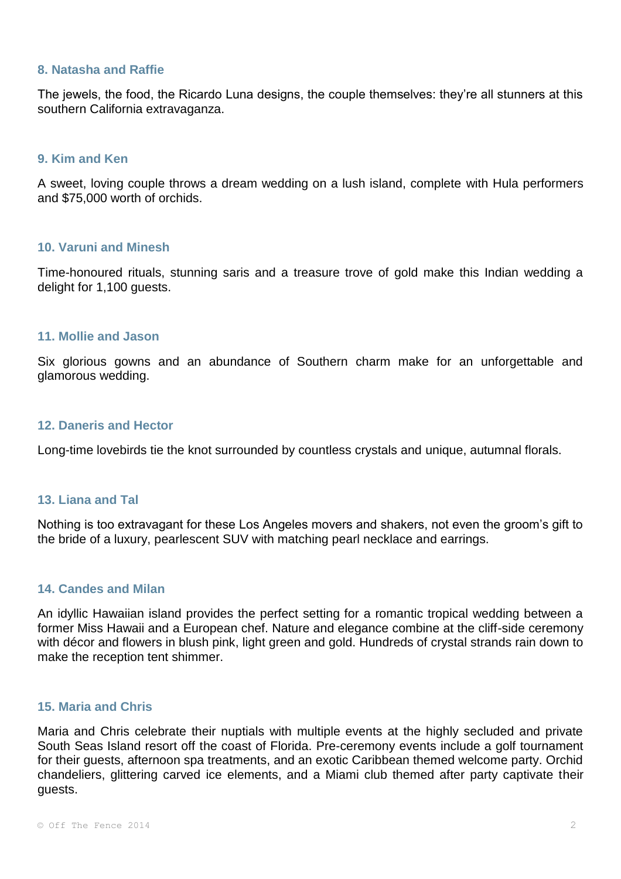#### **8. Natasha and Raffie**

The jewels, the food, the Ricardo Luna designs, the couple themselves: they're all stunners at this southern California extravaganza.

#### **9. Kim and Ken**

A sweet, loving couple throws a dream wedding on a lush island, complete with Hula performers and \$75,000 worth of orchids.

# **10. Varuni and Minesh**

Time-honoured rituals, stunning saris and a treasure trove of gold make this Indian wedding a delight for 1,100 guests.

## **11. Mollie and Jason**

Six glorious gowns and an abundance of Southern charm make for an unforgettable and glamorous wedding.

#### **12. Daneris and Hector**

Long-time lovebirds tie the knot surrounded by countless crystals and unique, autumnal florals.

# **13. Liana and Tal**

Nothing is too extravagant for these Los Angeles movers and shakers, not even the groom's gift to the bride of a luxury, pearlescent SUV with matching pearl necklace and earrings.

# **14. Candes and Milan**

An idyllic Hawaiian island provides the perfect setting for a romantic tropical wedding between a former Miss Hawaii and a European chef. Nature and elegance combine at the cliff-side ceremony with décor and flowers in blush pink, light green and gold. Hundreds of crystal strands rain down to make the reception tent shimmer.

## **15. Maria and Chris**

Maria and Chris celebrate their nuptials with multiple events at the highly secluded and private South Seas Island resort off the coast of Florida. Pre-ceremony events include a golf tournament for their guests, afternoon spa treatments, and an exotic Caribbean themed welcome party. Orchid chandeliers, glittering carved ice elements, and a Miami club themed after party captivate their guests.